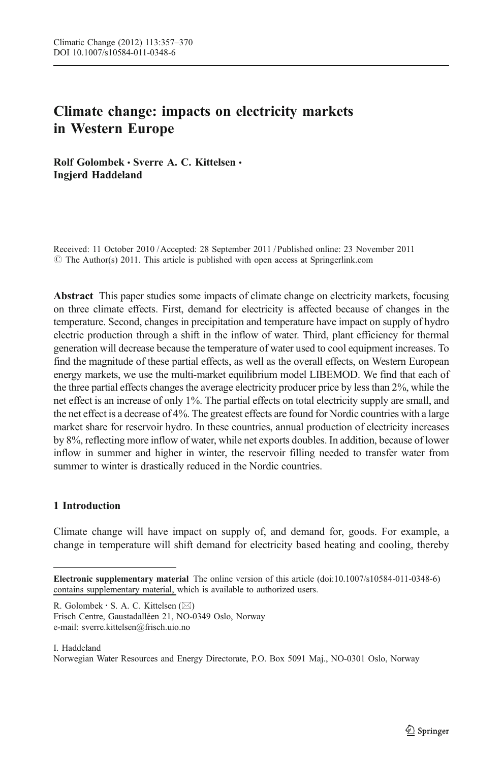# Climate change: impacts on electricity markets in Western Europe

Rolf Golombek • Sverre A. C. Kittelsen • Ingjerd Haddeland

Received: 11 October 2010 / Accepted: 28 September 2011 / Published online: 23 November 2011  $\odot$  The Author(s) 2011. This article is published with open access at Springerlink.com

Abstract This paper studies some impacts of climate change on electricity markets, focusing on three climate effects. First, demand for electricity is affected because of changes in the temperature. Second, changes in precipitation and temperature have impact on supply of hydro electric production through a shift in the inflow of water. Third, plant efficiency for thermal generation will decrease because the temperature of water used to cool equipment increases. To find the magnitude of these partial effects, as well as the overall effects, on Western European energy markets, we use the multi-market equilibrium model LIBEMOD. We find that each of the three partial effects changes the average electricity producer price by less than 2%, while the net effect is an increase of only 1%. The partial effects on total electricity supply are small, and the net effect is a decrease of 4%. The greatest effects are found for Nordic countries with a large market share for reservoir hydro. In these countries, annual production of electricity increases by 8%, reflecting more inflow of water, while net exports doubles. In addition, because of lower inflow in summer and higher in winter, the reservoir filling needed to transfer water from summer to winter is drastically reduced in the Nordic countries.

## 1 Introduction

Climate change will have impact on supply of, and demand for, goods. For example, a change in temperature will shift demand for electricity based heating and cooling, thereby

R. Golombek  $\cdot$  S. A. C. Kittelsen ( $\boxtimes$ ) Frisch Centre, Gaustadalléen 21, NO-0349 Oslo, Norway e-mail: sverre.kittelsen@frisch.uio.no

I. Haddeland

Norwegian Water Resources and Energy Directorate, P.O. Box 5091 Maj., NO-0301 Oslo, Norway

Electronic supplementary material The online version of this article (doi[:10.1007/s10584-011-0348-6](http://dx.doi.org/10.1007/s10584-011-0348-6)) contains supplementary material, which is available to authorized users.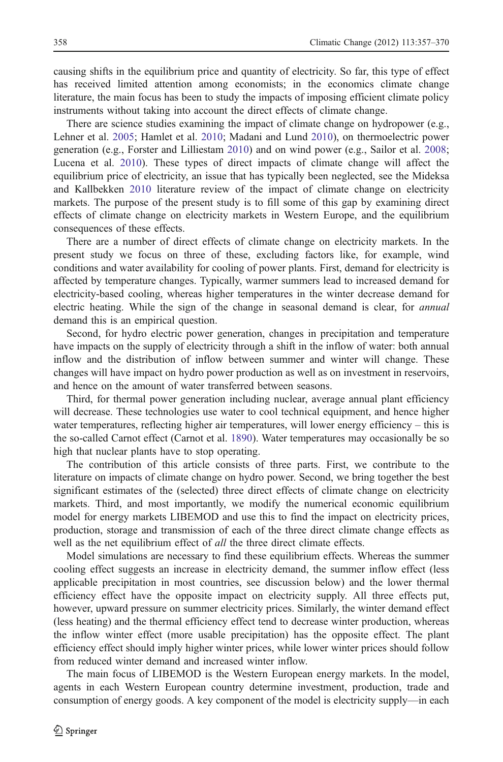causing shifts in the equilibrium price and quantity of electricity. So far, this type of effect has received limited attention among economists; in the economics climate change literature, the main focus has been to study the impacts of imposing efficient climate policy instruments without taking into account the direct effects of climate change.

There are science studies examining the impact of climate change on hydropower (e.g., Lehner et al. [2005](#page-12-0); Hamlet et al. [2010;](#page-12-0) Madani and Lund [2010](#page-12-0)), on thermoelectric power generation (e.g., Forster and Lilliestam [2010\)](#page-12-0) and on wind power (e.g., Sailor et al. [2008](#page-13-0); Lucena et al. [2010\)](#page-12-0). These types of direct impacts of climate change will affect the equilibrium price of electricity, an issue that has typically been neglected, see the Mideksa and Kallbekken [2010](#page-12-0) literature review of the impact of climate change on electricity markets. The purpose of the present study is to fill some of this gap by examining direct effects of climate change on electricity markets in Western Europe, and the equilibrium consequences of these effects.

There are a number of direct effects of climate change on electricity markets. In the present study we focus on three of these, excluding factors like, for example, wind conditions and water availability for cooling of power plants. First, demand for electricity is affected by temperature changes. Typically, warmer summers lead to increased demand for electricity-based cooling, whereas higher temperatures in the winter decrease demand for electric heating. While the sign of the change in seasonal demand is clear, for *annual* demand this is an empirical question.

Second, for hydro electric power generation, changes in precipitation and temperature have impacts on the supply of electricity through a shift in the inflow of water: both annual inflow and the distribution of inflow between summer and winter will change. These changes will have impact on hydro power production as well as on investment in reservoirs, and hence on the amount of water transferred between seasons.

Third, for thermal power generation including nuclear, average annual plant efficiency will decrease. These technologies use water to cool technical equipment, and hence higher water temperatures, reflecting higher air temperatures, will lower energy efficiency – this is the so-called Carnot effect (Carnot et al. [1890\)](#page-12-0). Water temperatures may occasionally be so high that nuclear plants have to stop operating.

The contribution of this article consists of three parts. First, we contribute to the literature on impacts of climate change on hydro power. Second, we bring together the best significant estimates of the (selected) three direct effects of climate change on electricity markets. Third, and most importantly, we modify the numerical economic equilibrium model for energy markets LIBEMOD and use this to find the impact on electricity prices, production, storage and transmission of each of the three direct climate change effects as well as the net equilibrium effect of all the three direct climate effects.

Model simulations are necessary to find these equilibrium effects. Whereas the summer cooling effect suggests an increase in electricity demand, the summer inflow effect (less applicable precipitation in most countries, see discussion below) and the lower thermal efficiency effect have the opposite impact on electricity supply. All three effects put, however, upward pressure on summer electricity prices. Similarly, the winter demand effect (less heating) and the thermal efficiency effect tend to decrease winter production, whereas the inflow winter effect (more usable precipitation) has the opposite effect. The plant efficiency effect should imply higher winter prices, while lower winter prices should follow from reduced winter demand and increased winter inflow.

The main focus of LIBEMOD is the Western European energy markets. In the model, agents in each Western European country determine investment, production, trade and consumption of energy goods. A key component of the model is electricity supply—in each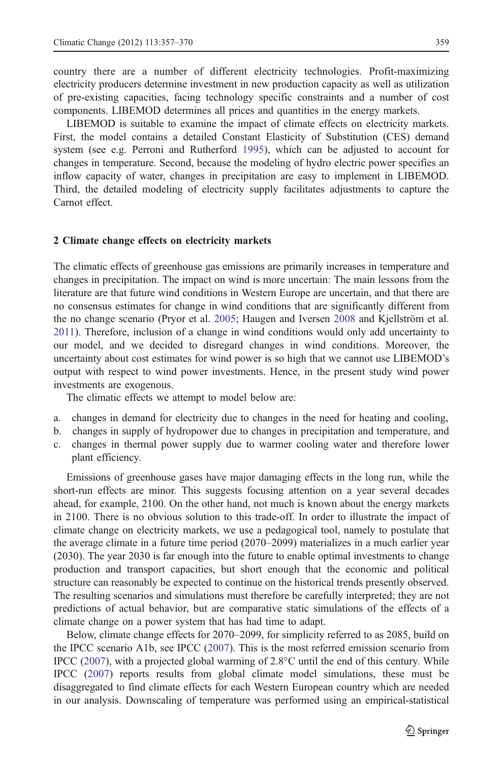country there are a number of different electricity technologies. Profit-maximizing electricity producers determine investment in new production capacity as well as utilization of pre-existing capacities, facing technology specific constraints and a number of cost components. LIBEMOD determines all prices and quantities in the energy markets.

LIBEMOD is suitable to examine the impact of climate effects on electricity markets. First, the model contains a detailed Constant Elasticity of Substitution (CES) demand system (see e.g. Perroni and Rutherford [1995\)](#page-13-0), which can be adjusted to account for changes in temperature. Second, because the modeling of hydro electric power specifies an inflow capacity of water, changes in precipitation are easy to implement in LIBEMOD. Third, the detailed modeling of electricity supply facilitates adjustments to capture the Carnot effect.

#### 2 Climate change effects on electricity markets

The climatic effects of greenhouse gas emissions are primarily increases in temperature and changes in precipitation. The impact on wind is more uncertain: The main lessons from the literature are that future wind conditions in Western Europe are uncertain, and that there are no consensus estimates for change in wind conditions that are significantly different from the no change scenario (Pryor et al. [2005](#page-13-0); Haugen and Iversen [2008](#page-12-0) and Kjellström et al. [2011](#page-12-0)). Therefore, inclusion of a change in wind conditions would only add uncertainty to our model, and we decided to disregard changes in wind conditions. Moreover, the uncertainty about cost estimates for wind power is so high that we cannot use LIBEMOD's output with respect to wind power investments. Hence, in the present study wind power investments are exogenous.

The climatic effects we attempt to model below are:

- a. changes in demand for electricity due to changes in the need for heating and cooling,
- b. changes in supply of hydropower due to changes in precipitation and temperature, and
- c. changes in thermal power supply due to warmer cooling water and therefore lower plant efficiency.

Emissions of greenhouse gases have major damaging effects in the long run, while the short-run effects are minor. This suggests focusing attention on a year several decades ahead, for example, 2100. On the other hand, not much is known about the energy markets in 2100. There is no obvious solution to this trade-off. In order to illustrate the impact of climate change on electricity markets, we use a pedagogical tool, namely to postulate that the average climate in a future time period (2070–2099) materializes in a much earlier year (2030). The year 2030 is far enough into the future to enable optimal investments to change production and transport capacities, but short enough that the economic and political structure can reasonably be expected to continue on the historical trends presently observed. The resulting scenarios and simulations must therefore be carefully interpreted; they are not predictions of actual behavior, but are comparative static simulations of the effects of a climate change on a power system that has had time to adapt.

Below, climate change effects for 2070–2099, for simplicity referred to as 2085, build on the IPCC scenario A1b, see IPCC [\(2007](#page-12-0)). This is the most referred emission scenario from IPCC [\(2007](#page-12-0)), with a projected global warming of 2.8°C until the end of this century. While IPCC ([2007\)](#page-12-0) reports results from global climate model simulations, these must be disaggregated to find climate effects for each Western European country which are needed in our analysis. Downscaling of temperature was performed using an empirical-statistical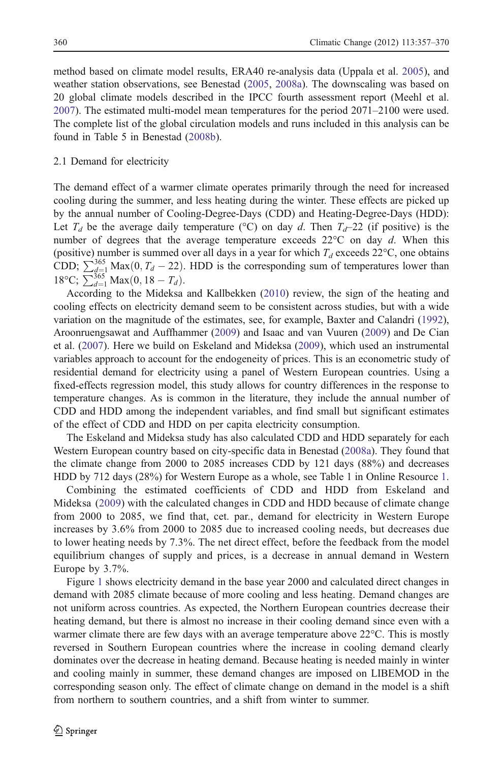<span id="page-3-0"></span>method based on climate model results, ERA40 re-analysis data (Uppala et al. [2005](#page-13-0)), and weather station observations, see Benestad [\(2005](#page-11-0), [2008a\)](#page-12-0). The downscaling was based on 20 global climate models described in the IPCC fourth assessment report (Meehl et al. [2007\)](#page-12-0). The estimated multi-model mean temperatures for the period 2071–2100 were used. The complete list of the global circulation models and runs included in this analysis can be found in Table 5 in Benestad ([2008b\)](#page-12-0).

## 2.1 Demand for electricity

The demand effect of a warmer climate operates primarily through the need for increased cooling during the summer, and less heating during the winter. These effects are picked up by the annual number of Cooling-Degree-Days (CDD) and Heating-Degree-Days (HDD): Let  $T_d$  be the average daily temperature (°C) on day d. Then  $T_d$ –22 (if positive) is the number of degrees that the average temperature exceeds  $22^{\circ}$ C on day d. When this (positive) number is summed over all days in a year for which  $T_d$  exceeds 22°C, one obtains CDD;  $\sum_{d=1}^{365}$  Max(0,  $T_d - 22$ ). HDD is the corresponding sum of temperatures lower than 18°C;  $\sum_{d=1}^{365}$  Max $(0, 18 - T_d)$ .

According to the Mideksa and Kallbekken ([2010](#page-12-0)) review, the sign of the heating and cooling effects on electricity demand seem to be consistent across studies, but with a wide variation on the magnitude of the estimates, see, for example, Baxter and Calandri [\(1992](#page-11-0)), Aroonruengsawat and Auffhammer ([2009\)](#page-11-0) and Isaac and van Vuuren [\(2009\)](#page-12-0) and De Cian et al. [\(2007](#page-12-0)). Here we build on Eskeland and Mideksa ([2009\)](#page-12-0), which used an instrumental variables approach to account for the endogeneity of prices. This is an econometric study of residential demand for electricity using a panel of Western European countries. Using a fixed-effects regression model, this study allows for country differences in the response to temperature changes. As is common in the literature, they include the annual number of CDD and HDD among the independent variables, and find small but significant estimates of the effect of CDD and HDD on per capita electricity consumption.

The Eskeland and Mideksa study has also calculated CDD and HDD separately for each Western European country based on city-specific data in Benestad [\(2008a](#page-12-0)). They found that the climate change from 2000 to 2085 increases CDD by 121 days (88%) and decreases HDD by 712 days (28%) for Western Europe as a whole, see Table 1 in Online Resource 1.

Combining the estimated coefficients of CDD and HDD from Eskeland and Mideksa ([2009\)](#page-12-0) with the calculated changes in CDD and HDD because of climate change from 2000 to 2085, we find that, cet. par., demand for electricity in Western Europe increases by 3.6% from 2000 to 2085 due to increased cooling needs, but decreases due to lower heating needs by 7.3%. The net direct effect, before the feedback from the model equilibrium changes of supply and prices, is a decrease in annual demand in Western Europe by 3.7%.

Figure [1](#page-4-0) shows electricity demand in the base year 2000 and calculated direct changes in demand with 2085 climate because of more cooling and less heating. Demand changes are not uniform across countries. As expected, the Northern European countries decrease their heating demand, but there is almost no increase in their cooling demand since even with a warmer climate there are few days with an average temperature above 22<sup>o</sup>C. This is mostly reversed in Southern European countries where the increase in cooling demand clearly dominates over the decrease in heating demand. Because heating is needed mainly in winter and cooling mainly in summer, these demand changes are imposed on LIBEMOD in the corresponding season only. The effect of climate change on demand in the model is a shift from northern to southern countries, and a shift from winter to summer.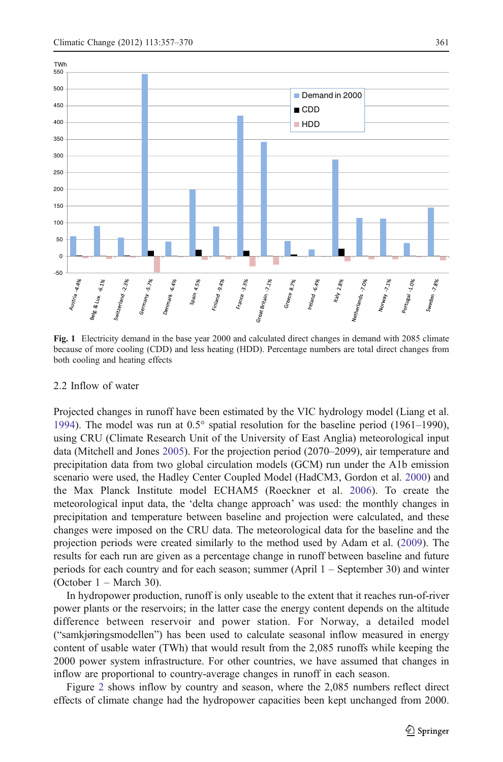<span id="page-4-0"></span>

Fig. 1 Electricity demand in the base year 2000 and calculated direct changes in demand with 2085 climate because of more cooling (CDD) and less heating (HDD). Percentage numbers are total direct changes from both cooling and heating effects

## 2.2 Inflow of water

Projected changes in runoff have been estimated by the VIC hydrology model (Liang et al. [1994\)](#page-12-0). The model was run at 0.5° spatial resolution for the baseline period (1961–1990), using CRU (Climate Research Unit of the University of East Anglia) meteorological input data (Mitchell and Jones [2005\)](#page-12-0). For the projection period (2070–2099), air temperature and precipitation data from two global circulation models (GCM) run under the A1b emission scenario were used, the Hadley Center Coupled Model (HadCM3, Gordon et al. [2000](#page-12-0)) and the Max Planck Institute model ECHAM5 (Roeckner et al. [2006\)](#page-13-0). To create the meteorological input data, the 'delta change approach' was used: the monthly changes in precipitation and temperature between baseline and projection were calculated, and these changes were imposed on the CRU data. The meteorological data for the baseline and the projection periods were created similarly to the method used by Adam et al. [\(2009](#page-11-0)). The results for each run are given as a percentage change in runoff between baseline and future periods for each country and for each season; summer (April 1 – September 30) and winter (October 1 – March 30).

In hydropower production, runoff is only useable to the extent that it reaches run-of-river power plants or the reservoirs; in the latter case the energy content depends on the altitude difference between reservoir and power station. For Norway, a detailed model ("samkjøringsmodellen") has been used to calculate seasonal inflow measured in energy content of usable water (TWh) that would result from the 2,085 runoffs while keeping the 2000 power system infrastructure. For other countries, we have assumed that changes in inflow are proportional to country-average changes in runoff in each season.

Figure [2](#page-5-0) shows inflow by country and season, where the 2,085 numbers reflect direct effects of climate change had the hydropower capacities been kept unchanged from 2000.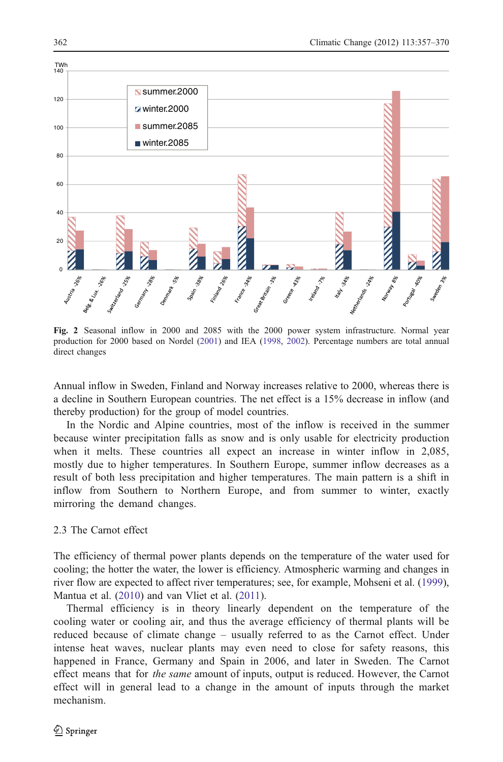<span id="page-5-0"></span>

Fig. 2 Seasonal inflow in 2000 and 2085 with the 2000 power system infrastructure. Normal year production for 2000 based on Nordel ([2001\)](#page-12-0) and IEA ([1998,](#page-12-0) [2002\)](#page-12-0). Percentage numbers are total annual direct changes

Annual inflow in Sweden, Finland and Norway increases relative to 2000, whereas there is a decline in Southern European countries. The net effect is a 15% decrease in inflow (and thereby production) for the group of model countries.

In the Nordic and Alpine countries, most of the inflow is received in the summer because winter precipitation falls as snow and is only usable for electricity production when it melts. These countries all expect an increase in winter inflow in 2,085, mostly due to higher temperatures. In Southern Europe, summer inflow decreases as a result of both less precipitation and higher temperatures. The main pattern is a shift in inflow from Southern to Northern Europe, and from summer to winter, exactly mirroring the demand changes.

# 2.3 The Carnot effect

The efficiency of thermal power plants depends on the temperature of the water used for cooling; the hotter the water, the lower is efficiency. Atmospheric warming and changes in river flow are expected to affect river temperatures; see, for example, Mohseni et al. [\(1999](#page-12-0)), Mantua et al. ([2010\)](#page-12-0) and van Vliet et al. ([2011\)](#page-13-0).

Thermal efficiency is in theory linearly dependent on the temperature of the cooling water or cooling air, and thus the average efficiency of thermal plants will be reduced because of climate change – usually referred to as the Carnot effect. Under intense heat waves, nuclear plants may even need to close for safety reasons, this happened in France, Germany and Spain in 2006, and later in Sweden. The Carnot effect means that for the same amount of inputs, output is reduced. However, the Carnot effect will in general lead to a change in the amount of inputs through the market mechanism.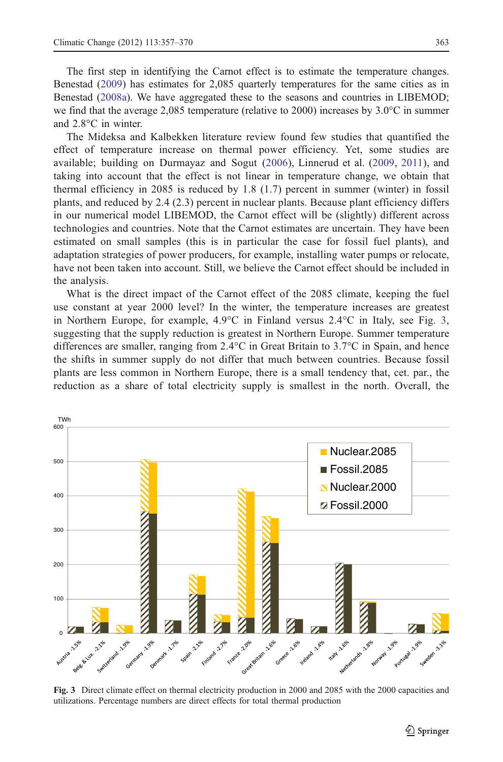The first step in identifying the Carnot effect is to estimate the temperature changes. Benestad ([2009\)](#page-12-0) has estimates for 2,085 quarterly temperatures for the same cities as in Benestad ([2008a\)](#page-12-0). We have aggregated these to the seasons and countries in LIBEMOD; we find that the average 2,085 temperature (relative to 2000) increases by 3.0°C in summer and 2.8°C in winter.

The Mideksa and Kalbekken literature review found few studies that quantified the effect of temperature increase on thermal power efficiency. Yet, some studies are available; building on Durmayaz and Sogut [\(2006\)](#page-12-0), Linnerud et al. ([2009,](#page-12-0) [2011\)](#page-12-0), and taking into account that the effect is not linear in temperature change, we obtain that thermal efficiency in 2085 is reduced by 1.8 (1.7) percent in summer (winter) in fossil plants, and reduced by 2.4 (2.3) percent in nuclear plants. Because plant efficiency differs in our numerical model LIBEMOD, the Carnot effect will be (slightly) different across technologies and countries. Note that the Carnot estimates are uncertain. They have been estimated on small samples (this is in particular the case for fossil fuel plants), and adaptation strategies of power producers, for example, installing water pumps or relocate, have not been taken into account. Still, we believe the Carnot effect should be included in the analysis.

What is the direct impact of the Carnot effect of the 2085 climate, keeping the fuel use constant at year 2000 level? In the winter, the temperature increases are greatest in Northern Europe, for example, 4.9°C in Finland versus 2.4°C in Italy, see Fig. 3, suggesting that the supply reduction is greatest in Northern Europe. Summer temperature differences are smaller, ranging from 2.4°C in Great Britain to 3.7°C in Spain, and hence the shifts in summer supply do not differ that much between countries. Because fossil plants are less common in Northern Europe, there is a small tendency that, cet. par., the reduction as a share of total electricity supply is smallest in the north. Overall, the



Fig. 3 Direct climate effect on thermal electricity production in 2000 and 2085 with the 2000 capacities and utilizations. Percentage numbers are direct effects for total thermal production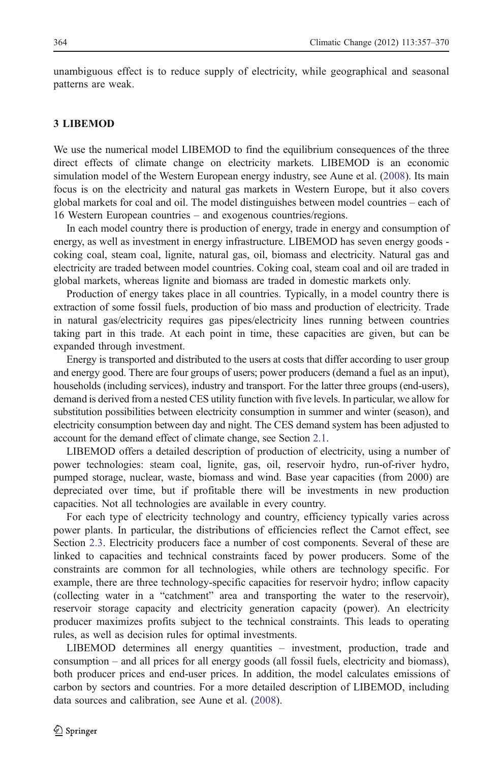unambiguous effect is to reduce supply of electricity, while geographical and seasonal patterns are weak.

## 3 LIBEMOD

We use the numerical model LIBEMOD to find the equilibrium consequences of the three direct effects of climate change on electricity markets. LIBEMOD is an economic simulation model of the Western European energy industry, see Aune et al. [\(2008](#page-11-0)). Its main focus is on the electricity and natural gas markets in Western Europe, but it also covers global markets for coal and oil. The model distinguishes between model countries – each of 16 Western European countries – and exogenous countries/regions.

In each model country there is production of energy, trade in energy and consumption of energy, as well as investment in energy infrastructure. LIBEMOD has seven energy goods coking coal, steam coal, lignite, natural gas, oil, biomass and electricity. Natural gas and electricity are traded between model countries. Coking coal, steam coal and oil are traded in global markets, whereas lignite and biomass are traded in domestic markets only.

Production of energy takes place in all countries. Typically, in a model country there is extraction of some fossil fuels, production of bio mass and production of electricity. Trade in natural gas/electricity requires gas pipes/electricity lines running between countries taking part in this trade. At each point in time, these capacities are given, but can be expanded through investment.

Energy is transported and distributed to the users at costs that differ according to user group and energy good. There are four groups of users; power producers (demand a fuel as an input), households (including services), industry and transport. For the latter three groups (end-users), demand is derived from a nested CES utility function with five levels. In particular, we allow for substitution possibilities between electricity consumption in summer and winter (season), and electricity consumption between day and night. The CES demand system has been adjusted to account for the demand effect of climate change, see Section [2.1](#page-3-0).

LIBEMOD offers a detailed description of production of electricity, using a number of power technologies: steam coal, lignite, gas, oil, reservoir hydro, run-of-river hydro, pumped storage, nuclear, waste, biomass and wind. Base year capacities (from 2000) are depreciated over time, but if profitable there will be investments in new production capacities. Not all technologies are available in every country.

For each type of electricity technology and country, efficiency typically varies across power plants. In particular, the distributions of efficiencies reflect the Carnot effect, see Section [2.3.](#page-5-0) Electricity producers face a number of cost components. Several of these are linked to capacities and technical constraints faced by power producers. Some of the constraints are common for all technologies, while others are technology specific. For example, there are three technology-specific capacities for reservoir hydro; inflow capacity (collecting water in a "catchment" area and transporting the water to the reservoir), reservoir storage capacity and electricity generation capacity (power). An electricity producer maximizes profits subject to the technical constraints. This leads to operating rules, as well as decision rules for optimal investments.

LIBEMOD determines all energy quantities – investment, production, trade and consumption – and all prices for all energy goods (all fossil fuels, electricity and biomass), both producer prices and end-user prices. In addition, the model calculates emissions of carbon by sectors and countries. For a more detailed description of LIBEMOD, including data sources and calibration, see Aune et al. [\(2008](#page-11-0)).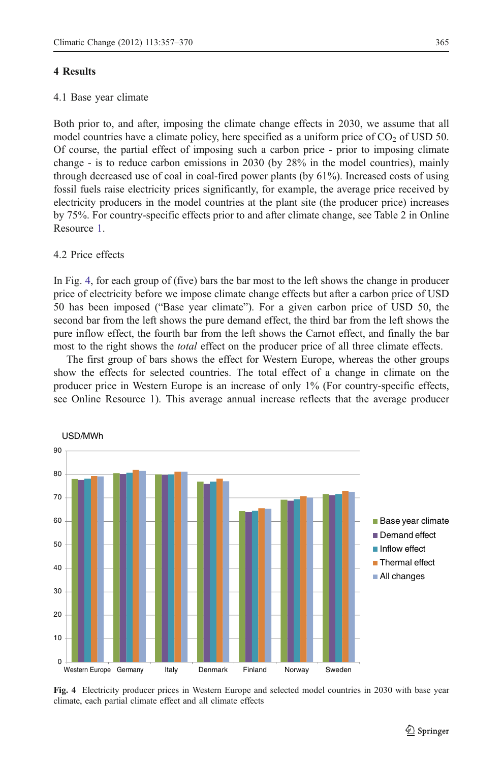#### 4 Results

## 4.1 Base year climate

Both prior to, and after, imposing the climate change effects in 2030, we assume that all model countries have a climate policy, here specified as a uniform price of  $CO<sub>2</sub>$  of USD 50. Of course, the partial effect of imposing such a carbon price - prior to imposing climate change - is to reduce carbon emissions in 2030 (by 28% in the model countries), mainly through decreased use of coal in coal-fired power plants (by 61%). Increased costs of using fossil fuels raise electricity prices significantly, for example, the average price received by electricity producers in the model countries at the plant site (the producer price) increases by 75%. For country-specific effects prior to and after climate change, see Table 2 in Online Resource 1.

# 4.2 Price effects

In Fig. 4, for each group of (five) bars the bar most to the left shows the change in producer price of electricity before we impose climate change effects but after a carbon price of USD 50 has been imposed ("Base year climate"). For a given carbon price of USD 50, the second bar from the left shows the pure demand effect, the third bar from the left shows the pure inflow effect, the fourth bar from the left shows the Carnot effect, and finally the bar most to the right shows the *total* effect on the producer price of all three climate effects.

The first group of bars shows the effect for Western Europe, whereas the other groups show the effects for selected countries. The total effect of a change in climate on the producer price in Western Europe is an increase of only 1% (For country-specific effects, see Online Resource 1). This average annual increase reflects that the average producer



Fig. 4 Electricity producer prices in Western Europe and selected model countries in 2030 with base year climate, each partial climate effect and all climate effects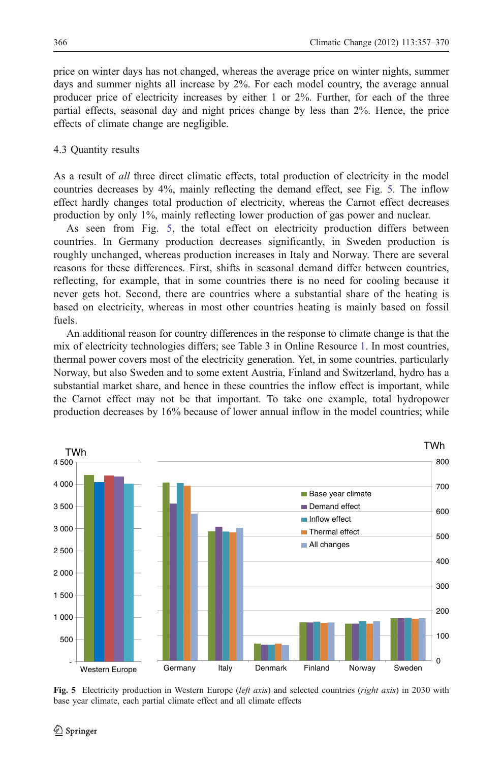price on winter days has not changed, whereas the average price on winter nights, summer days and summer nights all increase by 2%. For each model country, the average annual producer price of electricity increases by either 1 or 2%. Further, for each of the three partial effects, seasonal day and night prices change by less than 2%. Hence, the price effects of climate change are negligible.

## 4.3 Quantity results

As a result of all three direct climatic effects, total production of electricity in the model countries decreases by 4%, mainly reflecting the demand effect, see Fig. 5. The inflow effect hardly changes total production of electricity, whereas the Carnot effect decreases production by only 1%, mainly reflecting lower production of gas power and nuclear.

As seen from Fig. 5, the total effect on electricity production differs between countries. In Germany production decreases significantly, in Sweden production is roughly unchanged, whereas production increases in Italy and Norway. There are several reasons for these differences. First, shifts in seasonal demand differ between countries, reflecting, for example, that in some countries there is no need for cooling because it never gets hot. Second, there are countries where a substantial share of the heating is based on electricity, whereas in most other countries heating is mainly based on fossil fuels.

An additional reason for country differences in the response to climate change is that the mix of electricity technologies differs; see Table 3 in Online Resource 1. In most countries, thermal power covers most of the electricity generation. Yet, in some countries, particularly Norway, but also Sweden and to some extent Austria, Finland and Switzerland, hydro has a substantial market share, and hence in these countries the inflow effect is important, while the Carnot effect may not be that important. To take one example, total hydropower production decreases by 16% because of lower annual inflow in the model countries; while



Fig. 5 Electricity production in Western Europe (left axis) and selected countries (right axis) in 2030 with base year climate, each partial climate effect and all climate effects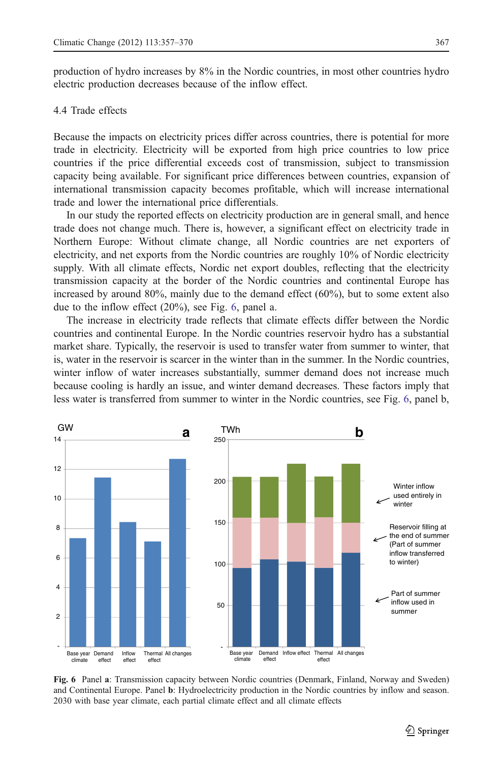production of hydro increases by 8% in the Nordic countries, in most other countries hydro electric production decreases because of the inflow effect.

# 4.4 Trade effects

Because the impacts on electricity prices differ across countries, there is potential for more trade in electricity. Electricity will be exported from high price countries to low price countries if the price differential exceeds cost of transmission, subject to transmission capacity being available. For significant price differences between countries, expansion of international transmission capacity becomes profitable, which will increase international trade and lower the international price differentials.

In our study the reported effects on electricity production are in general small, and hence trade does not change much. There is, however, a significant effect on electricity trade in Northern Europe: Without climate change, all Nordic countries are net exporters of electricity, and net exports from the Nordic countries are roughly 10% of Nordic electricity supply. With all climate effects, Nordic net export doubles, reflecting that the electricity transmission capacity at the border of the Nordic countries and continental Europe has increased by around 80%, mainly due to the demand effect (60%), but to some extent also due to the inflow effect (20%), see Fig. 6, panel a.

The increase in electricity trade reflects that climate effects differ between the Nordic countries and continental Europe. In the Nordic countries reservoir hydro has a substantial market share. Typically, the reservoir is used to transfer water from summer to winter, that is, water in the reservoir is scarcer in the winter than in the summer. In the Nordic countries, winter inflow of water increases substantially, summer demand does not increase much because cooling is hardly an issue, and winter demand decreases. These factors imply that less water is transferred from summer to winter in the Nordic countries, see Fig. 6, panel b,



Fig. 6 Panel a: Transmission capacity between Nordic countries (Denmark, Finland, Norway and Sweden) and Continental Europe. Panel b: Hydroelectricity production in the Nordic countries by inflow and season. 2030 with base year climate, each partial climate effect and all climate effects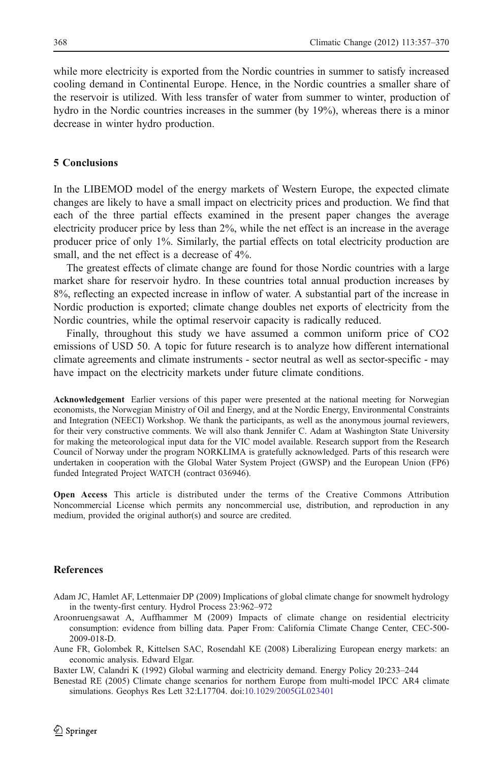<span id="page-11-0"></span>while more electricity is exported from the Nordic countries in summer to satisfy increased cooling demand in Continental Europe. Hence, in the Nordic countries a smaller share of the reservoir is utilized. With less transfer of water from summer to winter, production of hydro in the Nordic countries increases in the summer (by 19%), whereas there is a minor decrease in winter hydro production.

## 5 Conclusions

In the LIBEMOD model of the energy markets of Western Europe, the expected climate changes are likely to have a small impact on electricity prices and production. We find that each of the three partial effects examined in the present paper changes the average electricity producer price by less than 2%, while the net effect is an increase in the average producer price of only 1%. Similarly, the partial effects on total electricity production are small, and the net effect is a decrease of 4%.

The greatest effects of climate change are found for those Nordic countries with a large market share for reservoir hydro. In these countries total annual production increases by 8%, reflecting an expected increase in inflow of water. A substantial part of the increase in Nordic production is exported; climate change doubles net exports of electricity from the Nordic countries, while the optimal reservoir capacity is radically reduced.

Finally, throughout this study we have assumed a common uniform price of CO2 emissions of USD 50. A topic for future research is to analyze how different international climate agreements and climate instruments - sector neutral as well as sector-specific - may have impact on the electricity markets under future climate conditions.

Acknowledgement Earlier versions of this paper were presented at the national meeting for Norwegian economists, the Norwegian Ministry of Oil and Energy, and at the Nordic Energy, Environmental Constraints and Integration (NEECI) Workshop. We thank the participants, as well as the anonymous journal reviewers, for their very constructive comments. We will also thank Jennifer C. Adam at Washington State University for making the meteorological input data for the VIC model available. Research support from the Research Council of Norway under the program NORKLIMA is gratefully acknowledged. Parts of this research were undertaken in cooperation with the Global Water System Project (GWSP) and the European Union (FP6) funded Integrated Project WATCH (contract 036946).

Open Access This article is distributed under the terms of the Creative Commons Attribution Noncommercial License which permits any noncommercial use, distribution, and reproduction in any medium, provided the original author(s) and source are credited.

### **References**

- Adam JC, Hamlet AF, Lettenmaier DP (2009) Implications of global climate change for snowmelt hydrology in the twenty-first century. Hydrol Process 23:962–972
- Aroonruengsawat A, Auffhammer M (2009) Impacts of climate change on residential electricity consumption: evidence from billing data. Paper From: California Climate Change Center, CEC-500- 2009-018-D.
- Aune FR, Golombek R, Kittelsen SAC, Rosendahl KE (2008) Liberalizing European energy markets: an economic analysis. Edward Elgar.

Baxter LW, Calandri K (1992) Global warming and electricity demand. Energy Policy 20:233–244

Benestad RE (2005) Climate change scenarios for northern Europe from multi-model IPCC AR4 climate simulations. Geophys Res Lett 32:L17704. doi:[10.1029/2005GL023401](http://dx.doi.org/10.1029/2005GL023401)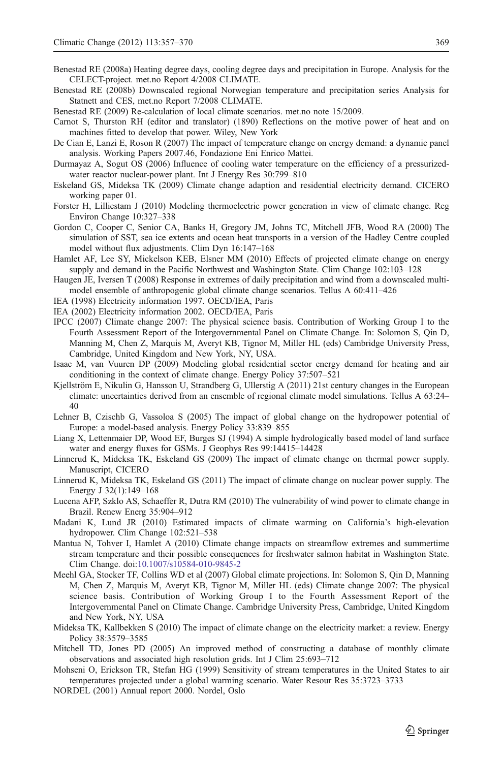- <span id="page-12-0"></span>Benestad RE (2008a) Heating degree days, cooling degree days and precipitation in Europe. Analysis for the CELECT-project. met.no Report 4/2008 CLIMATE.
- Benestad RE (2008b) Downscaled regional Norwegian temperature and precipitation series Analysis for Statnett and CES, met.no Report 7/2008 CLIMATE.
- Benestad RE (2009) Re-calculation of local climate scenarios. met.no note 15/2009.
- Carnot S, Thurston RH (editor and translator) (1890) Reflections on the motive power of heat and on machines fitted to develop that power. Wiley, New York
- De Cian E, Lanzi E, Roson R (2007) The impact of temperature change on energy demand: a dynamic panel analysis. Working Papers 2007.46, Fondazione Eni Enrico Mattei.
- Durmayaz A, Sogut OS (2006) Influence of cooling water temperature on the efficiency of a pressurizedwater reactor nuclear-power plant. Int J Energy Res 30:799–810
- Eskeland GS, Mideksa TK (2009) Climate change adaption and residential electricity demand. CICERO working paper 01.
- Forster H, Lilliestam J (2010) Modeling thermoelectric power generation in view of climate change. Reg Environ Change 10:327–338
- Gordon C, Cooper C, Senior CA, Banks H, Gregory JM, Johns TC, Mitchell JFB, Wood RA (2000) The simulation of SST, sea ice extents and ocean heat transports in a version of the Hadley Centre coupled model without flux adjustments. Clim Dyn 16:147–168
- Hamlet AF, Lee SY, Mickelson KEB, Elsner MM (2010) Effects of projected climate change on energy supply and demand in the Pacific Northwest and Washington State. Clim Change 102:103–128
- Haugen JE, Iversen T (2008) Response in extremes of daily precipitation and wind from a downscaled multimodel ensemble of anthropogenic global climate change scenarios. Tellus A 60:411–426
- IEA (1998) Electricity information 1997. OECD/IEA, Paris
- IEA (2002) Electricity information 2002. OECD/IEA, Paris
- IPCC (2007) Climate change 2007: The physical science basis. Contribution of Working Group I to the Fourth Assessment Report of the Intergovernmental Panel on Climate Change. In: Solomon S, Qin D, Manning M, Chen Z, Marquis M, Averyt KB, Tignor M, Miller HL (eds) Cambridge University Press, Cambridge, United Kingdom and New York, NY, USA.
- Isaac M, van Vuuren DP (2009) Modeling global residential sector energy demand for heating and air conditioning in the context of climate change. Energy Policy 37:507–521
- Kjellström E, Nikulin G, Hansson U, Strandberg G, Ullerstig A (2011) 21st century changes in the European climate: uncertainties derived from an ensemble of regional climate model simulations. Tellus A 63:24– 40
- Lehner B, Czischb G, Vassoloa S (2005) The impact of global change on the hydropower potential of Europe: a model-based analysis. Energy Policy 33:839–855
- Liang X, Lettenmaier DP, Wood EF, Burges SJ (1994) A simple hydrologically based model of land surface water and energy fluxes for GSMs. J Geophys Res 99:14415–14428
- Linnerud K, Mideksa TK, Eskeland GS (2009) The impact of climate change on thermal power supply. Manuscript, CICERO
- Linnerud K, Mideksa TK, Eskeland GS (2011) The impact of climate change on nuclear power supply. The Energy J 32(1):149–168
- Lucena AFP, Szklo AS, Schaeffer R, Dutra RM (2010) The vulnerability of wind power to climate change in Brazil. Renew Energ 35:904–912
- Madani K, Lund JR (2010) Estimated impacts of climate warming on California's high-elevation hydropower. Clim Change 102:521–538
- Mantua N, Tohver I, Hamlet A (2010) Climate change impacts on streamflow extremes and summertime stream temperature and their possible consequences for freshwater salmon habitat in Washington State. Clim Change. doi[:10.1007/s10584-010-9845-2](http://dx.doi.org/10.1007/s10584-010-9845-2)
- Meehl GA, Stocker TF, Collins WD et al (2007) Global climate projections. In: Solomon S, Qin D, Manning M, Chen Z, Marquis M, Averyt KB, Tignor M, Miller HL (eds) Climate change 2007: The physical science basis. Contribution of Working Group I to the Fourth Assessment Report of the Intergovernmental Panel on Climate Change. Cambridge University Press, Cambridge, United Kingdom and New York, NY, USA
- Mideksa TK, Kallbekken S (2010) The impact of climate change on the electricity market: a review. Energy Policy 38:3579–3585
- Mitchell TD, Jones PD (2005) An improved method of constructing a database of monthly climate observations and associated high resolution grids. Int J Clim 25:693–712
- Mohseni O, Erickson TR, Stefan HG (1999) Sensitivity of stream temperatures in the United States to air temperatures projected under a global warming scenario. Water Resour Res 35:3723–3733
- NORDEL (2001) Annual report 2000. Nordel, Oslo